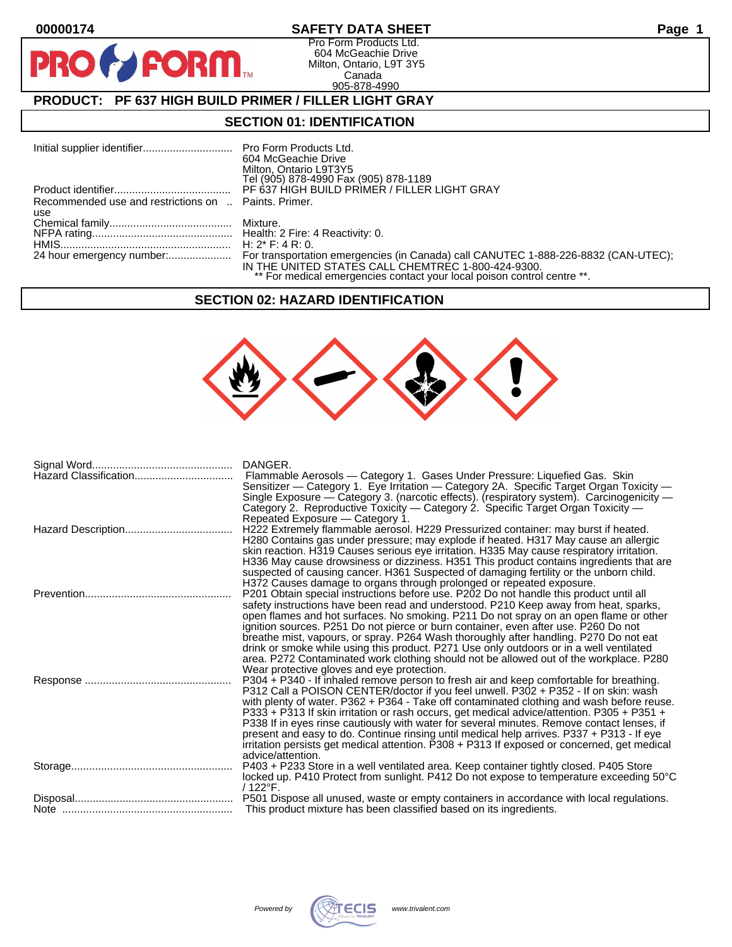$\bullet$ 

PR

# **00000174 SAFETY DATA SHEET Page 1**

Pro Form Products Ltd. 604 McGeachie Drive Milton, Ontario, L9T 3Y5 Canada 905-878-4990

# **PRODUCT: PF 637 HIGH BUILD PRIMER / FILLER LIGHT GRAY**

**FORM** 

## **SECTION 01: IDENTIFICATION**

|                                                      | 604 McGeachie Drive<br>Milton, Ontario L9T3Y5<br>Tel (905) 878-4990 Fax (905) 878-1189                                        |
|------------------------------------------------------|-------------------------------------------------------------------------------------------------------------------------------|
|                                                      | PF 637 HIGH BUILD PRIMER / FILLER LIGHT GRAY                                                                                  |
| Recommended use and restrictions on  Paints, Primer. |                                                                                                                               |
| use                                                  |                                                                                                                               |
|                                                      |                                                                                                                               |
|                                                      |                                                                                                                               |
|                                                      |                                                                                                                               |
|                                                      | IN THE UNITED STATES CALL CHEMTREC 1-800-424-9300.<br>** For medical emergencies contact your local poison control centre **. |

#### **SECTION 02: HAZARD IDENTIFICATION**



| DANGER.<br>Flammable Aerosols - Category 1. Gases Under Pressure: Liquefied Gas. Skin<br>Sensitizer — Category 1. Eye Irritation — Category 2A. Specific Target Organ Toxicity —<br>Single Exposure - Category 3. (narcotic effects). (respiratory system). Carcinogenicity -<br>Category 2. Reproductive Toxicity - Category 2. Specific Target Organ Toxicity -<br>Repeated Exposure - Category 1.                                                                                                                                                                                                                                                                                       |
|--------------------------------------------------------------------------------------------------------------------------------------------------------------------------------------------------------------------------------------------------------------------------------------------------------------------------------------------------------------------------------------------------------------------------------------------------------------------------------------------------------------------------------------------------------------------------------------------------------------------------------------------------------------------------------------------|
| H222 Extremely flammable aerosol. H229 Pressurized container: may burst if heated.<br>H280 Contains gas under pressure; may explode if heated. H317 May cause an allergic<br>skin reaction. H319 Causes serious eye irritation. H335 May cause respiratory irritation.<br>H336 May cause drowsiness or dizziness. H351 This product contains ingredients that are<br>suspected of causing cancer. H361 Suspected of damaging fertility or the unborn child.<br>H372 Causes damage to organs through prolonged or repeated exposure.                                                                                                                                                        |
| P201 Obtain special instructions before use. P202 Do not handle this product until all<br>safety instructions have been read and understood. P210 Keep away from heat, sparks,<br>open flames and hot surfaces. No smoking. P211 Do not spray on an open flame or other<br>ignition sources. P251 Do not pierce or burn container, even after use. P260 Do not<br>breathe mist, vapours, or spray. P264 Wash thoroughly after handling. P270 Do not eat<br>drink or smoke while using this product. P271 Use only outdoors or in a well ventilated<br>area. P272 Contaminated work clothing should not be allowed out of the workplace. P280<br>Wear protective gloves and eye protection. |
| P304 + P340 - If inhaled remove person to fresh air and keep comfortable for breathing.<br>P312 Call a POISON CENTER/doctor if you feel unwell. P302 + P352 - If on skin: wash<br>with plenty of water. P362 + P364 - Take off contaminated clothing and wash before reuse.<br>P333 + P313 If skin irritation or rash occurs, get medical advice/attention. P305 + P351 +<br>P338 If in eyes rinse cautiously with water for several minutes. Remove contact lenses, if<br>present and easy to do. Continue rinsing until medical help arrives. P337 + P313 - If eye<br>irritation persists get medical attention. P308 + P313 If exposed or concerned, get medical<br>advice/attention.   |
| P403 + P233 Store in a well ventilated area. Keep container tightly closed. P405 Store<br>locked up. P410 Protect from sunlight. P412 Do not expose to temperature exceeding 50°C<br>$/122^{\circ}$ F.                                                                                                                                                                                                                                                                                                                                                                                                                                                                                     |
| P501 Dispose all unused, waste or empty containers in accordance with local regulations.<br>This product mixture has been classified based on its ingredients.                                                                                                                                                                                                                                                                                                                                                                                                                                                                                                                             |

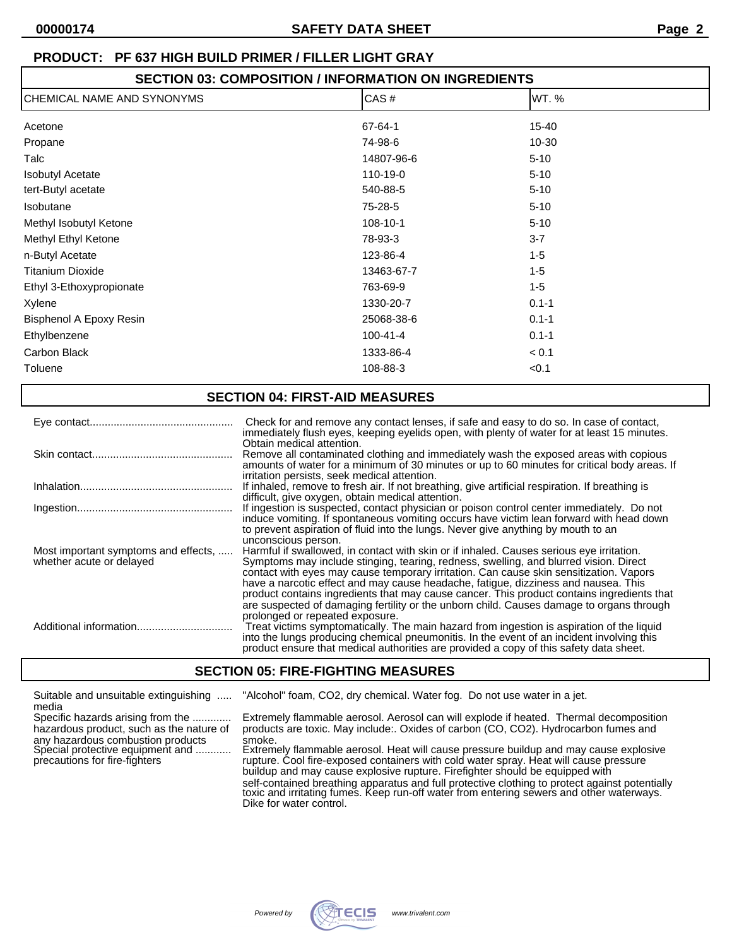## **SECTION 03: COMPOSITION / INFORMATION ON INGREDIENTS**

| CHEMICAL NAME AND SYNONYMS | CAS#           | WT.%      |  |
|----------------------------|----------------|-----------|--|
| Acetone                    | 67-64-1        | 15-40     |  |
| Propane                    | 74-98-6        | 10-30     |  |
| Talc                       | 14807-96-6     | $5 - 10$  |  |
| <b>Isobutyl Acetate</b>    | 110-19-0       | $5 - 10$  |  |
| tert-Butyl acetate         | 540-88-5       | $5 - 10$  |  |
| Isobutane                  | 75-28-5        | $5 - 10$  |  |
| Methyl Isobutyl Ketone     | 108-10-1       | $5 - 10$  |  |
| Methyl Ethyl Ketone        | 78-93-3        | $3 - 7$   |  |
| n-Butyl Acetate            | 123-86-4       | $1 - 5$   |  |
| <b>Titanium Dioxide</b>    | 13463-67-7     | $1 - 5$   |  |
| Ethyl 3-Ethoxypropionate   | 763-69-9       | $1 - 5$   |  |
| Xylene                     | 1330-20-7      | $0.1 - 1$ |  |
| Bisphenol A Epoxy Resin    | 25068-38-6     | $0.1 - 1$ |  |
| Ethylbenzene               | $100 - 41 - 4$ | $0.1 - 1$ |  |
| Carbon Black               | 1333-86-4      | < 0.1     |  |
| Toluene                    | 108-88-3       | < 0.1     |  |

#### **SECTION 04: FIRST-AID MEASURES** Eye contact................................................ Check for and remove any contact lenses, if safe and easy to do so. In case of contact, immediately flush eyes, keeping eyelids open, with plenty of water for at least 15 minutes. Obtain medical attention. Skin contact............................................... Remove all contaminated clothing and immediately wash the exposed areas with copious amounts of water for a minimum of 30 minutes or up to 60 minutes for critical body areas. If irritation persists, seek medical attention. Inhalation................................................... If inhaled, remove to fresh air. If not breathing, give artificial respiration. If breathing is difficult, give oxygen, obtain medical attention. Ingestion.................................................... If ingestion is suspected, contact physician or poison control center immediately. Do not induce vomiting. If spontaneous vomiting occurs have victim lean forward with head down to prevent aspiration of fluid into the lungs. Never give anything by mouth to an unconscious person. Most important symptoms and effects, ..... Harmful if swallowed, in contact with skin or if inhaled. Causes serious eye irritation.<br>Symptoms may include stinging, tearing, redness, swelling, and blurred vision. Direction. whether acute or delayed Symptoms may include stinging, tearing, redness, swelling, and blurred vision. Direct contact with eyes may cause temporary irritation. Can cause skin sensitization. Vapors have a narcotic effect and may cause headache, fatigue, dizziness and nausea. This product contains ingredients that may cause cancer. This product contains ingredients that are suspected of damaging fertility or the unborn child. Causes damage to organs through prolonged or repeated exposure. Additional information................................ Treat victims symptomatically. The main hazard from ingestion is aspiration of the liquid into the lungs producing chemical pneumonitis. In the event of an incident involving this product ensure that medical authorities are provided a copy of this safety data sheet.

# **SECTION 05: FIRE-FIGHTING MEASURES**

| Suitable and unsuitable extinguishing                                                                  | "Alcohol" foam, CO2, dry chemical. Water fog. Do not use water in a jet.                                                                                                                                                                                                |
|--------------------------------------------------------------------------------------------------------|-------------------------------------------------------------------------------------------------------------------------------------------------------------------------------------------------------------------------------------------------------------------------|
| media<br>Specific hazards arising from the<br>hazardous product, such as the nature of                 | Extremely flammable aerosol. Aerosol can will explode if heated. Thermal decomposition<br>products are toxic. May include: Oxides of carbon (CO, CO2). Hydrocarbon fumes and                                                                                            |
| any hazardous combustion products<br>Special protective equipment and<br>precautions for fire-fighters | smoke.<br>Extremely flammable aerosol. Heat will cause pressure buildup and may cause explosive<br>rupture. Cool fire-exposed containers with cold water spray. Heat will cause pressure                                                                                |
|                                                                                                        | buildup and may cause explosive rupture. Firefighter should be equipped with<br>self-contained breathing apparatus and full protective clothing to protect against potentially toxic and irritating fumes. Keep run-off water from entering sewers and other waterways. |
|                                                                                                        | Dike for water control.                                                                                                                                                                                                                                                 |

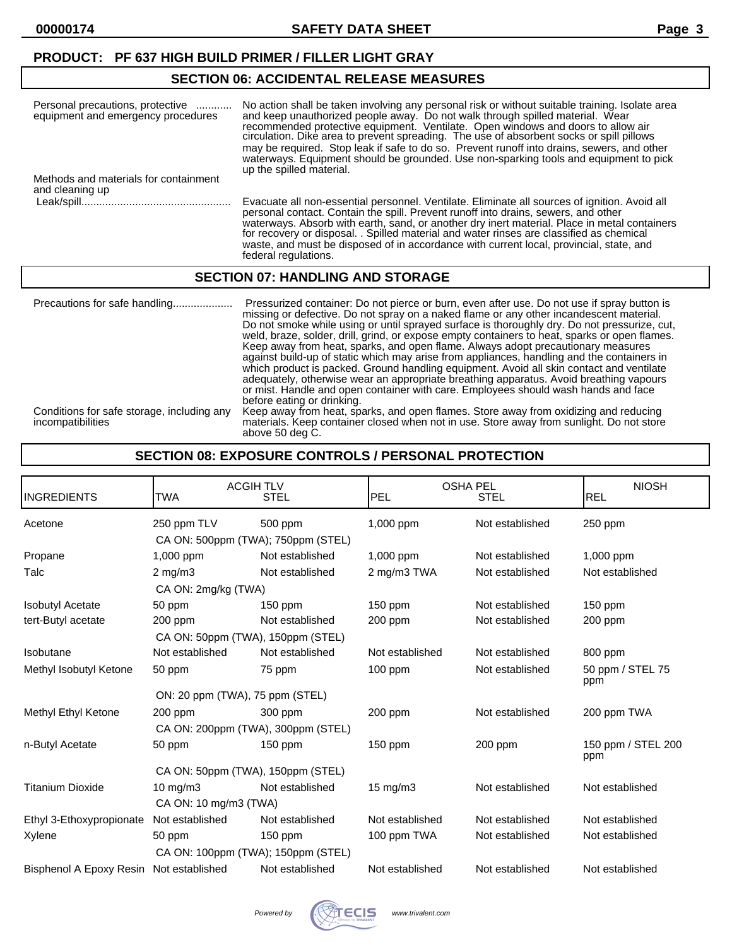# **SECTION 06: ACCIDENTAL RELEASE MEASURES**

| Personal precautions, protective<br>equipment and emergency procedures | No action shall be taken involving any personal risk or without suitable training. Isolate area<br>and keep unauthorized people away. Do not walk through spilled material. Wear<br>recommended protective equipment. Ventilate. Open windows and doors to allow air<br>circulation. Dike area to prevent spreading. The use of absorbent socks or spill pillows<br>may be required. Stop leak if safe to do so. Prevent runoff into drains, sewers, and other<br>waterways. Equipment should be grounded. Use non-sparking tools and equipment to pick<br>up the spilled material. |
|------------------------------------------------------------------------|-------------------------------------------------------------------------------------------------------------------------------------------------------------------------------------------------------------------------------------------------------------------------------------------------------------------------------------------------------------------------------------------------------------------------------------------------------------------------------------------------------------------------------------------------------------------------------------|
| Methods and materials for containment<br>and cleaning up               |                                                                                                                                                                                                                                                                                                                                                                                                                                                                                                                                                                                     |
|                                                                        | Evacuate all non-essential personnel. Ventilate. Eliminate all sources of ignition. Avoid all<br>personal contact. Contain the spill. Prevent runoff into drains, sewers, and other<br>waterways. Absorb with earth, sand, or another dry inert material. Place in metal containers<br>for recovery or disposal. . Spilled material and water rinses are classified as chemical                                                                                                                                                                                                     |

waste, and must be disposed of in accordance with current local, provincial, state, and

## **SECTION 07: HANDLING AND STORAGE**

federal regulations.

| Precautions for safe handling                                   | Pressurized container: Do not pierce or burn, even after use. Do not use if spray button is<br>missing or defective. Do not spray on a naked flame or any other incandescent material.<br>Do not smoke while using or until sprayed surface is thoroughly dry. Do not pressurize, cut,<br>weld, braze, solder, drill, grind, or expose empty containers to heat, sparks or open flames.<br>Keep away from heat, sparks, and open flame. Always adopt precautionary measures<br>against build-up of static which may arise from appliances, handling and the containers in<br>which product is packed. Ground handling equipment. Avoid all skin contact and ventilate<br>adequately, otherwise wear an appropriate breathing apparatus. Avoid breathing vapours<br>or mist. Handle and open container with care. Employees should wash hands and face<br>before eating or drinking. |
|-----------------------------------------------------------------|-------------------------------------------------------------------------------------------------------------------------------------------------------------------------------------------------------------------------------------------------------------------------------------------------------------------------------------------------------------------------------------------------------------------------------------------------------------------------------------------------------------------------------------------------------------------------------------------------------------------------------------------------------------------------------------------------------------------------------------------------------------------------------------------------------------------------------------------------------------------------------------|
| Conditions for safe storage, including any<br>incompatibilities | Keep away from heat, sparks, and open flames. Store away from oxidizing and reducing<br>materials. Keep container closed when not in use. Store away from sunlight. Do not store<br>above 50 deg C.                                                                                                                                                                                                                                                                                                                                                                                                                                                                                                                                                                                                                                                                                 |

# **SECTION 08: EXPOSURE CONTROLS / PERSONAL PROTECTION**

| <b>INGREDIENTS</b>       | <b>ACGIH TLV</b><br><b>TWA</b>                    | <b>STEL</b>     | <b>OSHA PEL</b><br>PEL | <b>STEL</b>     | <b>NIOSH</b><br><b>REL</b> |
|--------------------------|---------------------------------------------------|-----------------|------------------------|-----------------|----------------------------|
| Acetone                  | 250 ppm TLV<br>CA ON: 500ppm (TWA); 750ppm (STEL) | 500 ppm         | $1,000$ ppm            | Not established | $250$ ppm                  |
| Propane                  | 1,000 ppm                                         | Not established | 1,000 ppm              | Not established | 1,000 ppm                  |
| Talc                     | $2 \text{ mg/m}$ 3                                | Not established | 2 mg/m3 TWA            | Not established | Not established            |
|                          | CA ON: 2mg/kg (TWA)                               |                 |                        |                 |                            |
| <b>Isobutyl Acetate</b>  | 50 ppm                                            | $150$ ppm       | $150$ ppm              | Not established | $150$ ppm                  |
| tert-Butyl acetate       | 200 ppm                                           | Not established | 200 ppm                | Not established | 200 ppm                    |
|                          | CA ON: 50ppm (TWA), 150ppm (STEL)                 |                 |                        |                 |                            |
| Isobutane                | Not established                                   | Not established | Not established        | Not established | 800 ppm                    |
| Methyl Isobutyl Ketone   | 50 ppm                                            | 75 ppm          | $100$ ppm              | Not established | 50 ppm / STEL 75<br>ppm    |
|                          | ON: 20 ppm (TWA), 75 ppm (STEL)                   |                 |                        |                 |                            |
| Methyl Ethyl Ketone      | 200 ppm                                           | 300 ppm         | $200$ ppm              | Not established | 200 ppm TWA                |
|                          | CA ON: 200ppm (TWA), 300ppm (STEL)                |                 |                        |                 |                            |
| n-Butyl Acetate          | 50 ppm                                            | 150 ppm         | $150$ ppm              | 200 ppm         | 150 ppm / STEL 200<br>ppm  |
|                          | CA ON: 50ppm (TWA), 150ppm (STEL)                 |                 |                        |                 |                            |
| <b>Titanium Dioxide</b>  | 10 mg/m $3$<br>CA ON: 10 mg/m3 (TWA)              | Not established | $15 \text{ mg/m}$      | Not established | Not established            |
| Ethyl 3-Ethoxypropionate | Not established                                   | Not established | Not established        | Not established | Not established            |
| Xylene                   | 50 ppm                                            | $150$ ppm       | 100 ppm TWA            | Not established | Not established            |
|                          | CA ON: 100ppm (TWA); 150ppm (STEL)                |                 |                        |                 |                            |
| Bisphenol A Epoxy Resin  | Not established                                   | Not established | Not established        | Not established | Not established            |

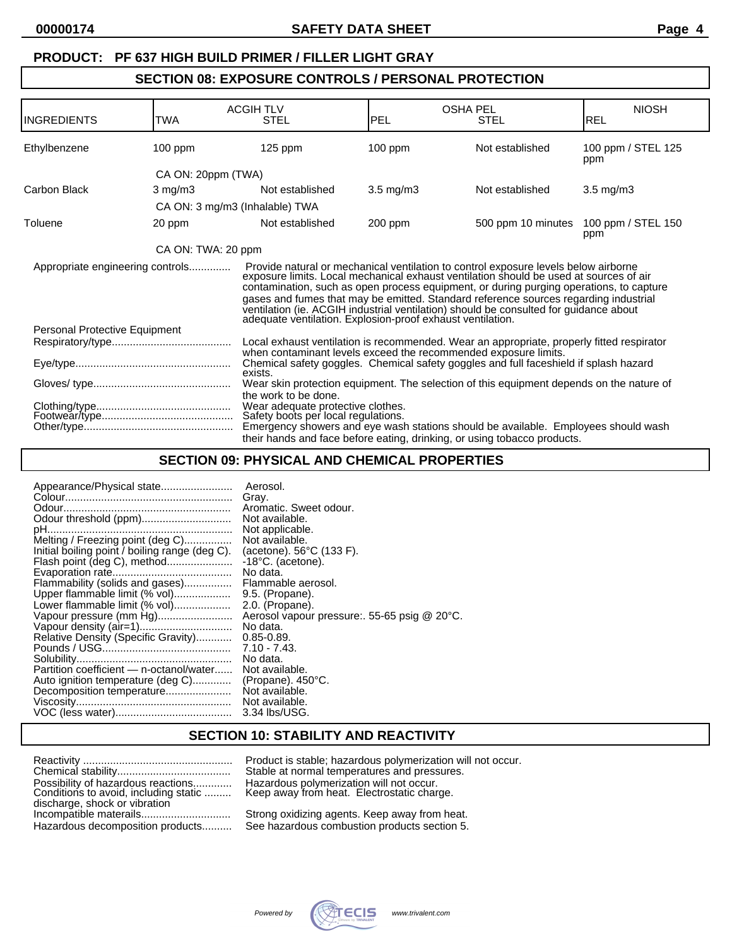# **SECTION 08: EXPOSURE CONTROLS / PERSONAL PROTECTION**

| <b>INGREDIENTS</b>               | <b>TWA</b>         | <b>ACGIH TLV</b><br><b>STEL</b>                                                                                                                                                                                                                                    | <b>PEL</b>                                                                               | <b>OSHA PEL</b><br><b>STEL</b>                                                                                                                                                                                                                                                                                                                                                                                                                            | <b>NIOSH</b><br><b>REL</b> |
|----------------------------------|--------------------|--------------------------------------------------------------------------------------------------------------------------------------------------------------------------------------------------------------------------------------------------------------------|------------------------------------------------------------------------------------------|-----------------------------------------------------------------------------------------------------------------------------------------------------------------------------------------------------------------------------------------------------------------------------------------------------------------------------------------------------------------------------------------------------------------------------------------------------------|----------------------------|
| Ethylbenzene                     | $100$ ppm          | $125$ ppm                                                                                                                                                                                                                                                          | $100$ ppm                                                                                | Not established                                                                                                                                                                                                                                                                                                                                                                                                                                           | 100 ppm / STEL 125<br>ppm  |
|                                  | CA ON: 20ppm (TWA) |                                                                                                                                                                                                                                                                    |                                                                                          |                                                                                                                                                                                                                                                                                                                                                                                                                                                           |                            |
| Carbon Black                     | $3 \text{ mg/m}$   | Not established                                                                                                                                                                                                                                                    | $3.5 \text{ mg/m}$ 3                                                                     | Not established                                                                                                                                                                                                                                                                                                                                                                                                                                           | $3.5$ mg/m $3$             |
|                                  |                    | CA ON: 3 mg/m3 (Inhalable) TWA                                                                                                                                                                                                                                     |                                                                                          |                                                                                                                                                                                                                                                                                                                                                                                                                                                           |                            |
| Toluene                          | 20 ppm             | Not established                                                                                                                                                                                                                                                    | $200$ ppm                                                                                | 500 ppm 10 minutes                                                                                                                                                                                                                                                                                                                                                                                                                                        | 100 ppm / STEL 150<br>ppm  |
|                                  | CA ON: TWA: 20 ppm |                                                                                                                                                                                                                                                                    |                                                                                          |                                                                                                                                                                                                                                                                                                                                                                                                                                                           |                            |
| Appropriate engineering controls |                    | adequate ventilation. Explosion-proof exhaust ventilation.                                                                                                                                                                                                         |                                                                                          | Provide natural or mechanical ventilation to control exposure levels below airborne<br>exposure limits. Local mechanical exhaust ventilation should be used at sources of air<br>contamination, such as open process equipment, or during purging operations, to capture<br>gases and fumes that may be emitted. Standard reference sources regarding industrial<br>ventilation (ie. ACGIH industrial ventilation) should be consulted for guidance about |                            |
| Personal Protective Equipment    |                    |                                                                                                                                                                                                                                                                    |                                                                                          |                                                                                                                                                                                                                                                                                                                                                                                                                                                           |                            |
|                                  |                    |                                                                                                                                                                                                                                                                    |                                                                                          | Local exhaust ventilation is recommended. Wear an appropriate, properly fitted respirator<br>when contaminant levels exceed the recommended exposure limits.                                                                                                                                                                                                                                                                                              |                            |
| exists.                          |                    |                                                                                                                                                                                                                                                                    | Chemical safety goggles. Chemical safety goggles and full faceshield if splash hazard    |                                                                                                                                                                                                                                                                                                                                                                                                                                                           |                            |
|                                  |                    |                                                                                                                                                                                                                                                                    | Wear skin protection equipment. The selection of this equipment depends on the nature of |                                                                                                                                                                                                                                                                                                                                                                                                                                                           |                            |
|                                  |                    | the work to be done.<br>Wear adequate protective clothes.<br>Safety boots per local regulations.<br>Emergency showers and eye wash stations should be available. Employees should wash<br>their hands and face before eating, drinking, or using tobacco products. |                                                                                          |                                                                                                                                                                                                                                                                                                                                                                                                                                                           |                            |

# **SECTION 09: PHYSICAL AND CHEMICAL PROPERTIES**

| Appearance/Physical state                                                                                                                  | Aerosol.<br>Gray.<br>Aromatic. Sweet odour.<br>Not available.                                            |
|--------------------------------------------------------------------------------------------------------------------------------------------|----------------------------------------------------------------------------------------------------------|
| Odour threshold (ppm)<br>Melting / Freezing point (deg C)<br>Initial boiling point / boiling range (deg C).<br>Flash point (deg C), method | Not applicable.<br>Not available.<br>(acetone). 56°C (133 F).<br>$-18^{\circ}$ C. (acetone).<br>No data. |
| Flammability (solids and gases)                                                                                                            | Flammable aerosol.                                                                                       |
| Upper flammable limit (% vol)                                                                                                              | 9.5. (Propane).                                                                                          |
| Lower flammable limit (% vol)                                                                                                              | 2.0. (Propane).                                                                                          |
| Vapour pressure (mm Hg)                                                                                                                    | Aerosol vapour pressure: 55-65 psig @ 20°C.                                                              |
|                                                                                                                                            | No data.                                                                                                 |
| Relative Density (Specific Gravity)                                                                                                        | $0.85 - 0.89$ .                                                                                          |
|                                                                                                                                            | $7.10 - 7.43$                                                                                            |
|                                                                                                                                            | No data.                                                                                                 |
| Partition coefficient - n-octanol/water                                                                                                    | Not available.                                                                                           |
| Auto ignition temperature (deg C)                                                                                                          | (Propane). $450^{\circ}$ C.                                                                              |
| Decomposition temperature                                                                                                                  | Not available.                                                                                           |
|                                                                                                                                            | Not available.                                                                                           |
|                                                                                                                                            | 3.34 lbs/USG.                                                                                            |

#### **SECTION 10: STABILITY AND REACTIVITY**

|                                                                             | Product is stable; hazardous polymerization will not occur.<br>Stable at normal temperatures and pressures. |
|-----------------------------------------------------------------------------|-------------------------------------------------------------------------------------------------------------|
| Possibility of hazardous reactions<br>Conditions to avoid, including static | Hazardous polymerization will not occur.<br>Keep away from heat. Electrostatic charge.                      |
| discharge, shock or vibration                                               | Strong oxidizing agents. Keep away from heat.                                                               |
| Hazardous decomposition products                                            | See hazardous combustion products section 5.                                                                |

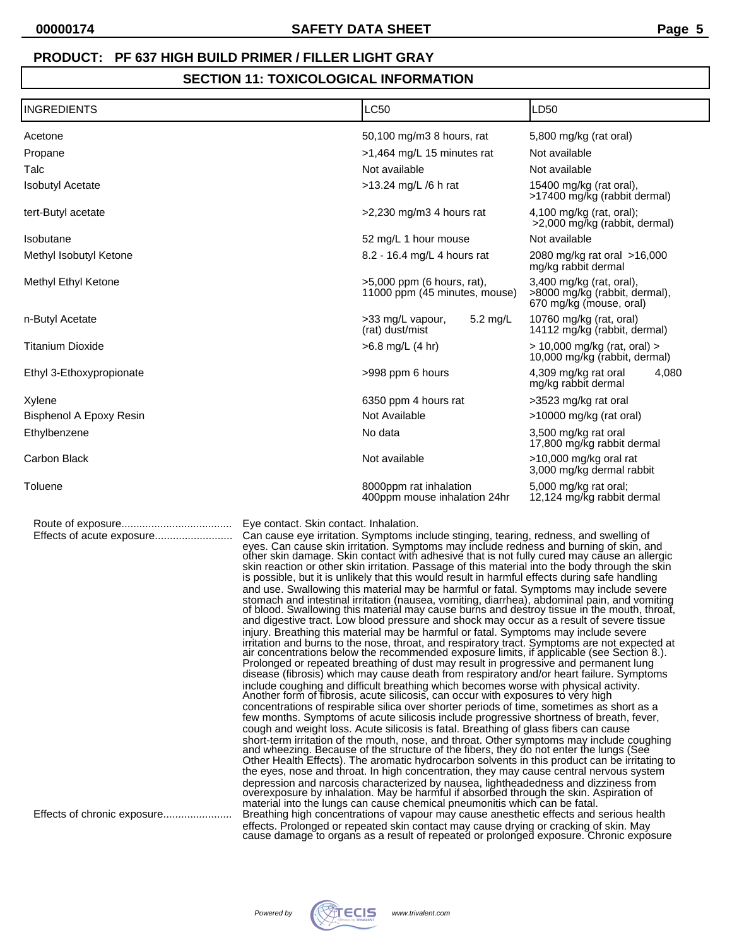# **SECTION 11: TOXICOLOGICAL INFORMATION**

| <b>INGREDIENTS</b>                                       |                                        | <b>LC50</b>                                                                                                                                                                                                                                                                                                                                                                                                                                                                                                                                                                                                                                                                                                                                                                                                                                                                                                                                                                                                                                                                                                                                                                                                                                                                                                                                                                                                                                                                                                                                                                                                                                                                                                                                                                                                                                                                                                                                                                                                                                                                                                                                                                                                                                                                                                                                                                                                                                                                                                                                            | LD50                                                                                 |
|----------------------------------------------------------|----------------------------------------|--------------------------------------------------------------------------------------------------------------------------------------------------------------------------------------------------------------------------------------------------------------------------------------------------------------------------------------------------------------------------------------------------------------------------------------------------------------------------------------------------------------------------------------------------------------------------------------------------------------------------------------------------------------------------------------------------------------------------------------------------------------------------------------------------------------------------------------------------------------------------------------------------------------------------------------------------------------------------------------------------------------------------------------------------------------------------------------------------------------------------------------------------------------------------------------------------------------------------------------------------------------------------------------------------------------------------------------------------------------------------------------------------------------------------------------------------------------------------------------------------------------------------------------------------------------------------------------------------------------------------------------------------------------------------------------------------------------------------------------------------------------------------------------------------------------------------------------------------------------------------------------------------------------------------------------------------------------------------------------------------------------------------------------------------------------------------------------------------------------------------------------------------------------------------------------------------------------------------------------------------------------------------------------------------------------------------------------------------------------------------------------------------------------------------------------------------------------------------------------------------------------------------------------------------------|--------------------------------------------------------------------------------------|
| Acetone                                                  |                                        | 50,100 mg/m3 8 hours, rat                                                                                                                                                                                                                                                                                                                                                                                                                                                                                                                                                                                                                                                                                                                                                                                                                                                                                                                                                                                                                                                                                                                                                                                                                                                                                                                                                                                                                                                                                                                                                                                                                                                                                                                                                                                                                                                                                                                                                                                                                                                                                                                                                                                                                                                                                                                                                                                                                                                                                                                              | 5,800 mg/kg (rat oral)                                                               |
| Propane                                                  |                                        | >1,464 mg/L 15 minutes rat                                                                                                                                                                                                                                                                                                                                                                                                                                                                                                                                                                                                                                                                                                                                                                                                                                                                                                                                                                                                                                                                                                                                                                                                                                                                                                                                                                                                                                                                                                                                                                                                                                                                                                                                                                                                                                                                                                                                                                                                                                                                                                                                                                                                                                                                                                                                                                                                                                                                                                                             | Not available                                                                        |
| Talc                                                     |                                        | Not available                                                                                                                                                                                                                                                                                                                                                                                                                                                                                                                                                                                                                                                                                                                                                                                                                                                                                                                                                                                                                                                                                                                                                                                                                                                                                                                                                                                                                                                                                                                                                                                                                                                                                                                                                                                                                                                                                                                                                                                                                                                                                                                                                                                                                                                                                                                                                                                                                                                                                                                                          | Not available                                                                        |
| <b>Isobutyl Acetate</b>                                  |                                        | $>13.24$ mg/L /6 h rat                                                                                                                                                                                                                                                                                                                                                                                                                                                                                                                                                                                                                                                                                                                                                                                                                                                                                                                                                                                                                                                                                                                                                                                                                                                                                                                                                                                                                                                                                                                                                                                                                                                                                                                                                                                                                                                                                                                                                                                                                                                                                                                                                                                                                                                                                                                                                                                                                                                                                                                                 | 15400 mg/kg (rat oral),<br>>17400 mg/kg (rabbit dermal)                              |
| tert-Butyl acetate                                       |                                        | $>2,230$ mg/m3 4 hours rat                                                                                                                                                                                                                                                                                                                                                                                                                                                                                                                                                                                                                                                                                                                                                                                                                                                                                                                                                                                                                                                                                                                                                                                                                                                                                                                                                                                                                                                                                                                                                                                                                                                                                                                                                                                                                                                                                                                                                                                                                                                                                                                                                                                                                                                                                                                                                                                                                                                                                                                             | 4,100 mg/kg (rat, oral);<br>>2,000 mg/kg (rabbit, dermal)                            |
| Isobutane                                                |                                        | 52 mg/L 1 hour mouse                                                                                                                                                                                                                                                                                                                                                                                                                                                                                                                                                                                                                                                                                                                                                                                                                                                                                                                                                                                                                                                                                                                                                                                                                                                                                                                                                                                                                                                                                                                                                                                                                                                                                                                                                                                                                                                                                                                                                                                                                                                                                                                                                                                                                                                                                                                                                                                                                                                                                                                                   | Not available                                                                        |
| Methyl Isobutyl Ketone                                   |                                        | 8.2 - 16.4 mg/L 4 hours rat                                                                                                                                                                                                                                                                                                                                                                                                                                                                                                                                                                                                                                                                                                                                                                                                                                                                                                                                                                                                                                                                                                                                                                                                                                                                                                                                                                                                                                                                                                                                                                                                                                                                                                                                                                                                                                                                                                                                                                                                                                                                                                                                                                                                                                                                                                                                                                                                                                                                                                                            | 2080 mg/kg rat oral >16,000<br>mg/kg rabbit dermal                                   |
| Methyl Ethyl Ketone                                      |                                        | $>5,000$ ppm (6 hours, rat),<br>11000 ppm (45 minutes, mouse)                                                                                                                                                                                                                                                                                                                                                                                                                                                                                                                                                                                                                                                                                                                                                                                                                                                                                                                                                                                                                                                                                                                                                                                                                                                                                                                                                                                                                                                                                                                                                                                                                                                                                                                                                                                                                                                                                                                                                                                                                                                                                                                                                                                                                                                                                                                                                                                                                                                                                          | 3,400 mg/kg (rat, oral),<br>>8000 mg/kg (rabbit, dermal),<br>670 mg/kg (mouse, oral) |
| n-Butyl Acetate                                          |                                        | >33 mg/L vapour,<br>5.2 mg/L<br>(rat) dust/mist                                                                                                                                                                                                                                                                                                                                                                                                                                                                                                                                                                                                                                                                                                                                                                                                                                                                                                                                                                                                                                                                                                                                                                                                                                                                                                                                                                                                                                                                                                                                                                                                                                                                                                                                                                                                                                                                                                                                                                                                                                                                                                                                                                                                                                                                                                                                                                                                                                                                                                        | 10760 mg/kg (rat, oral)<br>14112 mg/kg (rabbit, dermal)                              |
| <b>Titanium Dioxide</b>                                  |                                        | $>6.8$ mg/L (4 hr)                                                                                                                                                                                                                                                                                                                                                                                                                                                                                                                                                                                                                                                                                                                                                                                                                                                                                                                                                                                                                                                                                                                                                                                                                                                                                                                                                                                                                                                                                                                                                                                                                                                                                                                                                                                                                                                                                                                                                                                                                                                                                                                                                                                                                                                                                                                                                                                                                                                                                                                                     | > 10,000 mg/kg (rat, oral) ><br>10,000 mg/kg (rabbit, dermal)                        |
| Ethyl 3-Ethoxypropionate                                 |                                        | >998 ppm 6 hours                                                                                                                                                                                                                                                                                                                                                                                                                                                                                                                                                                                                                                                                                                                                                                                                                                                                                                                                                                                                                                                                                                                                                                                                                                                                                                                                                                                                                                                                                                                                                                                                                                                                                                                                                                                                                                                                                                                                                                                                                                                                                                                                                                                                                                                                                                                                                                                                                                                                                                                                       | 4,309 mg/kg rat oral<br>4,080<br>mg/kg rabbit dermal                                 |
| Xylene                                                   |                                        | 6350 ppm 4 hours rat                                                                                                                                                                                                                                                                                                                                                                                                                                                                                                                                                                                                                                                                                                                                                                                                                                                                                                                                                                                                                                                                                                                                                                                                                                                                                                                                                                                                                                                                                                                                                                                                                                                                                                                                                                                                                                                                                                                                                                                                                                                                                                                                                                                                                                                                                                                                                                                                                                                                                                                                   | >3523 mg/kg rat oral                                                                 |
| Bisphenol A Epoxy Resin                                  |                                        | Not Available                                                                                                                                                                                                                                                                                                                                                                                                                                                                                                                                                                                                                                                                                                                                                                                                                                                                                                                                                                                                                                                                                                                                                                                                                                                                                                                                                                                                                                                                                                                                                                                                                                                                                                                                                                                                                                                                                                                                                                                                                                                                                                                                                                                                                                                                                                                                                                                                                                                                                                                                          | >10000 mg/kg (rat oral)                                                              |
| Ethylbenzene                                             |                                        | No data                                                                                                                                                                                                                                                                                                                                                                                                                                                                                                                                                                                                                                                                                                                                                                                                                                                                                                                                                                                                                                                                                                                                                                                                                                                                                                                                                                                                                                                                                                                                                                                                                                                                                                                                                                                                                                                                                                                                                                                                                                                                                                                                                                                                                                                                                                                                                                                                                                                                                                                                                | 3,500 mg/kg rat oral<br>17,800 mg/kg rabbit dermal                                   |
| Carbon Black                                             |                                        | Not available                                                                                                                                                                                                                                                                                                                                                                                                                                                                                                                                                                                                                                                                                                                                                                                                                                                                                                                                                                                                                                                                                                                                                                                                                                                                                                                                                                                                                                                                                                                                                                                                                                                                                                                                                                                                                                                                                                                                                                                                                                                                                                                                                                                                                                                                                                                                                                                                                                                                                                                                          | >10,000 mg/kg oral rat<br>3,000 mg/kg dermal rabbit                                  |
| Toluene                                                  |                                        | 8000ppm rat inhalation<br>400ppm mouse inhalation 24hr                                                                                                                                                                                                                                                                                                                                                                                                                                                                                                                                                                                                                                                                                                                                                                                                                                                                                                                                                                                                                                                                                                                                                                                                                                                                                                                                                                                                                                                                                                                                                                                                                                                                                                                                                                                                                                                                                                                                                                                                                                                                                                                                                                                                                                                                                                                                                                                                                                                                                                 | 5,000 mg/kg rat oral;<br>12,124 mg/kg rabbit dermal                                  |
| Effects of acute exposure<br>Effects of chronic exposure | Eye contact. Skin contact. Inhalation. | Can cause eye irritation. Symptoms include stinging, tearing, redness, and swelling of<br>eyes. Can cause skin irritation. Symptoms may include redness and burning of skin, and<br>other skin damage. Skin contact with adhesive that is not fully cured may cause an allergic<br>skin reaction or other skin irritation. Passage of this material into the body through the skin<br>is possible, but it is unlikely that this would result in harmful effects during safe handling<br>and use. Swallowing this material may be harmful or fatal. Symptoms may include severe<br>stomach and intestinal irritation (nausea, vomiting, diarrhea), abdominal pain, and vomiting<br>of blood. Swallowing this material may cause burns and destroy tissue in the mouth, throat,<br>and digestive tract. Low blood pressure and shock may occur as a result of severe tissue<br>injury. Breathing this material may be harmful or fatal. Symptoms may include severe<br>irritation and burns to the nose, throat, and respiratory tract. Symptoms are not expected at air concentrations below the recommended exposure limits, if applicable (see Section 8.).<br>Prolonged or repeated breathing of dust may result in progressive and permanent lung<br>disease (fibrosis) which may cause death from respiratory and/or heart failure. Symptoms<br>include coughing and difficult breathing which becomes worse with physical activity.<br>Another form of fibrosis, acute silicosis, can occur with exposures to very high<br>concentrations of respirable silica over shorter periods of time, sometimes as short as a<br>few months. Symptoms of acute silicosis include progressive shortness of breath, fever,<br>cough and weight loss. Acute silicosis is fatal. Breathing of glass fibers can cause<br>short-term irritation of the mouth, nose, and throat. Other symptoms may include coughing and wheezing. Because of the structure of the fibers, they do not enter the lungs (See<br>Other Health Effects). The aromatic hydrocarbon solvents in this product can be irritating to<br>the eyes, nose and throat. In high concentration, they may cause central nervous system<br>depression and narcosis characterized by nausea, lightheadedness and dizziness from<br>overexposure by inhalation. May be harmful if absorbed through the skin. Aspiration of<br>material into the lungs can cause chemical pneumonitis which can be fatal.<br>Breathing high concentrations of vapour may cause anesthetic effects and serious health |                                                                                      |
|                                                          |                                        | effects. Prolonged or repeated skin contact may cause drying or cracking of skin. May<br>cause damage to organs as a result of repeated or prolonged exposure. Chronic exposure                                                                                                                                                                                                                                                                                                                                                                                                                                                                                                                                                                                                                                                                                                                                                                                                                                                                                                                                                                                                                                                                                                                                                                                                                                                                                                                                                                                                                                                                                                                                                                                                                                                                                                                                                                                                                                                                                                                                                                                                                                                                                                                                                                                                                                                                                                                                                                        |                                                                                      |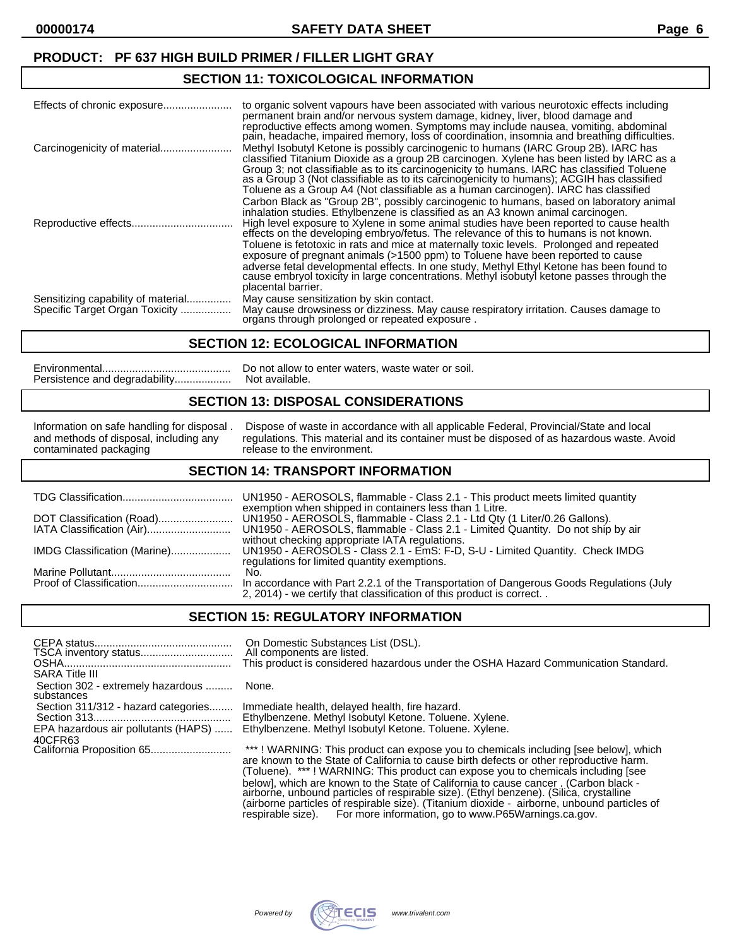## **SECTION 11: TOXICOLOGICAL INFORMATION**

|                                                                      | to organic solvent vapours have been associated with various neurotoxic effects including<br>permanent brain and/or nervous system damage, kidney, liver, blood damage and<br>reproductive effects among women. Symptoms may include nausea, vomiting, abdominal<br>pain, headache, impaired memory, loss of coordination, insomnia and breathing difficulties.                                                                                                    |
|----------------------------------------------------------------------|--------------------------------------------------------------------------------------------------------------------------------------------------------------------------------------------------------------------------------------------------------------------------------------------------------------------------------------------------------------------------------------------------------------------------------------------------------------------|
|                                                                      | Methyl Isobutyl Ketone is possibly carcinogenic to humans (IARC Group 2B). IARC has<br>classified Titanium Dioxide as a group 2B carcinogen. Xylene has been listed by IARC as a<br>Group 3; not classifiable as to its carcinogenicity to humans. IARC has classified Toluene<br>as a Group 3 (Not classifiable as to its carcinogenicity to humans); ACGIH has classified<br>Toluene as a Group A4 (Not classifiable as a human carcinogen). IARC has classified |
|                                                                      | Carbon Black as "Group 2B", possibly carcinogenic to humans, based on laboratory animal<br>inhalation studies. Ethylbenzene is classified as an A3 known animal carcinogen.<br>High level exposure to Xylene in some animal studies have been reported to cause health<br>effects on the developing embryo/fetus. The relevance of this to humans is not known.                                                                                                    |
|                                                                      | Toluene is fetotoxic in rats and mice at maternally toxic levels. Prolonged and repeated<br>exposure of pregnant animals (>1500 ppm) to Toluene have been reported to cause<br>adverse fetal developmental effects. In one study, Methyl Ethyl Ketone has been found to<br>cause embryol toxicity in large concentrations. Methyl is obutyl ketone passes through the<br>placental barrier.                                                                        |
| Sensitizing capability of material<br>Specific Target Organ Toxicity | May cause sensitization by skin contact.<br>May cause drowsiness or dizziness. May cause respiratory irritation. Causes damage to<br>organs through prolonged or repeated exposure.                                                                                                                                                                                                                                                                                |

#### **SECTION 12: ECOLOGICAL INFORMATION**

| Do not allow to enter waters, waste water or soil. |
|----------------------------------------------------|
|                                                    |

## **SECTION 13: DISPOSAL CONSIDERATIONS**

Information on safe handling for disposal . Dispose of waste in accordance with all applicable Federal, Provincial/State and local and methods of disposal, including any regulations. This material and its container must be disposed of as hazardous waste. Avoid contaminated packaging release to the environment. release to the environment.

#### **SECTION 14: TRANSPORT INFORMATION**

|                              | UN1950 - AEROSOLS, flammable - Class 2.1 - This product meets limited quantity<br>exemption when shipped in containers less than 1 Litre.                        |
|------------------------------|------------------------------------------------------------------------------------------------------------------------------------------------------------------|
|                              | UN1950 - AEROSOLS, flammable - Class 2.1 - Ltd Qty (1 Liter/0.26 Gallons).                                                                                       |
|                              | UN1950 - AEROSOLS, flammable - Class 2.1 - Limited Quantity. Do not ship by air<br>without checking appropriate IATA regulations.                                |
| IMDG Classification (Marine) | UN1950 - AEROSOLS - Class 2.1 - EmS: F-D, S-U - Limited Quantity. Check IMDG<br>regulations for limited quantity exemptions.                                     |
|                              | No.                                                                                                                                                              |
|                              | In accordance with Part 2.2.1 of the Transportation of Dangerous Goods Regulations (July<br>2, 2014) - we certify that classification of this product is correct |

#### **SECTION 15: REGULATORY INFORMATION**

| <b>SARA Title III</b>                           | On Domestic Substances List (DSL).<br>All components are listed.<br>This product is considered hazardous under the OSHA Hazard Communication Standard.                         |
|-------------------------------------------------|--------------------------------------------------------------------------------------------------------------------------------------------------------------------------------|
| Section 302 - extremely hazardous<br>substances | None.                                                                                                                                                                          |
| Section 311/312 - hazard categories             | Immediate health, delayed health, fire hazard.<br>Ethylbenzene. Methyl Isobutyl Ketone. Toluene. Xylene.                                                                       |
| EPA hazardous air pollutants (HAPS)<br>40CFR63  | Ethylbenzene. Methyl Isobutyl Ketone. Toluene. Xylene.                                                                                                                         |
|                                                 | ***! WARNING: This product can expose you to chemicals including [see below], which<br>are known to the State of California to cause birth defects or other reproductive harm. |

(Toluene). \*\*\* ! WARNING: This product can expose you to chemicals including [see below], which are known to the State of California to cause cancer . (Carbon black airborne, unbound particles of respirable size). (Ethyl benzene). (Silica, crystalline (airborne particles of respirable size). (Titanium dioxide - airborne, unbound particles of respirable size). For more information, go to www.P65Warnings.ca.gov.